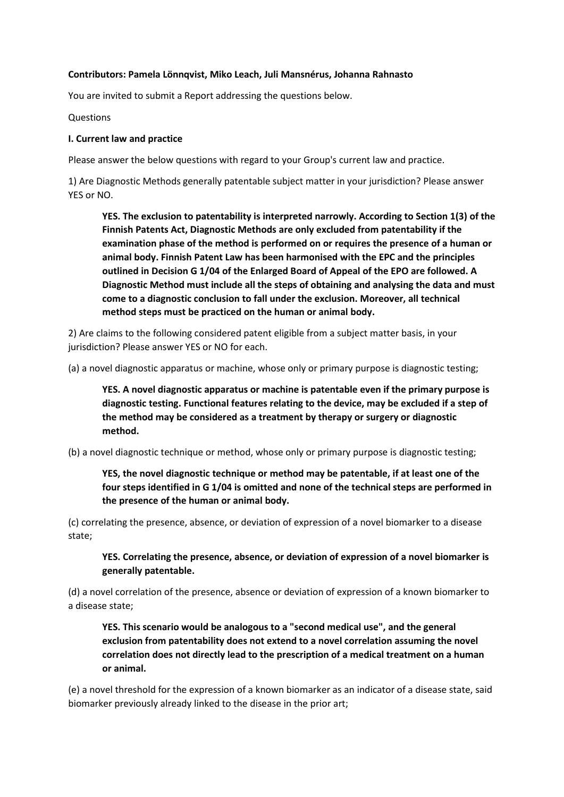#### **Contributors: Pamela Lönnqvist, Miko Leach, Juli Mansnérus, Johanna Rahnasto**

You are invited to submit a Report addressing the questions below.

Questions

#### **I. Current law and practice**

Please answer the below questions with regard to your Group's current law and practice.

1) Are Diagnostic Methods generally patentable subject matter in your jurisdiction? Please answer YES or NO.

**YES. The exclusion to patentability is interpreted narrowly. According to Section 1(3) of the Finnish Patents Act, Diagnostic Methods are only excluded from patentability if the examination phase of the method is performed on or requires the presence of a human or animal body. Finnish Patent Law has been harmonised with the EPC and the principles outlined in Decision G 1/04 of the Enlarged Board of Appeal of the EPO are followed. A Diagnostic Method must include all the steps of obtaining and analysing the data and must come to a diagnostic conclusion to fall under the exclusion. Moreover, all technical method steps must be practiced on the human or animal body.** 

2) Are claims to the following considered patent eligible from a subject matter basis, in your jurisdiction? Please answer YES or NO for each.

(a) a novel diagnostic apparatus or machine, whose only or primary purpose is diagnostic testing;

**YES. A novel diagnostic apparatus or machine is patentable even if the primary purpose is diagnostic testing. Functional features relating to the device, may be excluded if a step of the method may be considered as a treatment by therapy or surgery or diagnostic method.** 

(b) a novel diagnostic technique or method, whose only or primary purpose is diagnostic testing;

**YES, the novel diagnostic technique or method may be patentable, if at least one of the four steps identified in G 1/04 is omitted and none of the technical steps are performed in the presence of the human or animal body.** 

(c) correlating the presence, absence, or deviation of expression of a novel biomarker to a disease state;

**YES. Correlating the presence, absence, or deviation of expression of a novel biomarker is generally patentable.** 

(d) a novel correlation of the presence, absence or deviation of expression of a known biomarker to a disease state;

**YES. This scenario would be analogous to a "second medical use", and the general exclusion from patentability does not extend to a novel correlation assuming the novel correlation does not directly lead to the prescription of a medical treatment on a human or animal.** 

(e) a novel threshold for the expression of a known biomarker as an indicator of a disease state, said biomarker previously already linked to the disease in the prior art;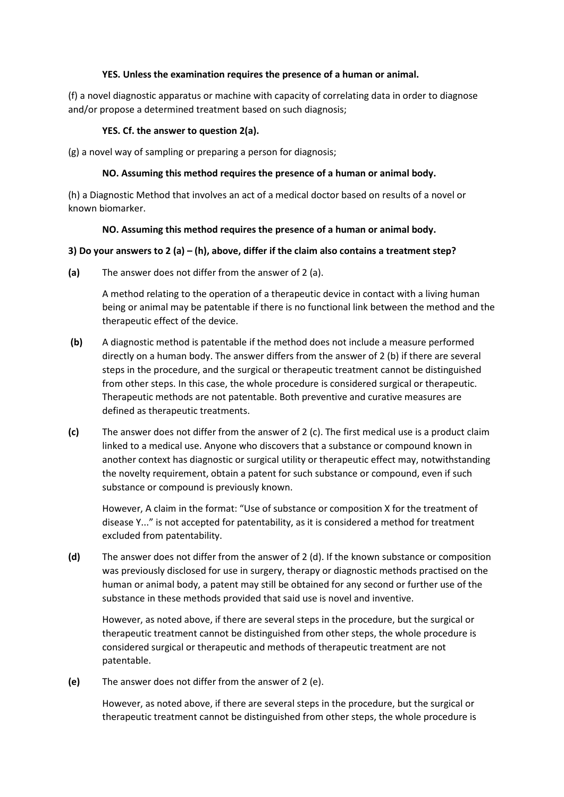#### **YES. Unless the examination requires the presence of a human or animal.**

(f) a novel diagnostic apparatus or machine with capacity of correlating data in order to diagnose and/or propose a determined treatment based on such diagnosis;

# **YES. Cf. the answer to question 2(a).**

(g) a novel way of sampling or preparing a person for diagnosis;

## **NO. Assuming this method requires the presence of a human or animal body.**

(h) a Diagnostic Method that involves an act of a medical doctor based on results of a novel or known biomarker.

## **NO. Assuming this method requires the presence of a human or animal body.**

## **3) Do your answers to 2 (a) – (h), above, differ if the claim also contains a treatment step?**

**(a)** The answer does not differ from the answer of 2 (a).

A method relating to the operation of a therapeutic device in contact with a living human being or animal may be patentable if there is no functional link between the method and the therapeutic effect of the device.

- **(b)** A diagnostic method is patentable if the method does not include a measure performed directly on a human body. The answer differs from the answer of 2 (b) if there are several steps in the procedure, and the surgical or therapeutic treatment cannot be distinguished from other steps. In this case, the whole procedure is considered surgical or therapeutic. Therapeutic methods are not patentable. Both preventive and curative measures are defined as therapeutic treatments.
- **(c)** The answer does not differ from the answer of 2 (c). The first medical use is a product claim linked to a medical use. Anyone who discovers that a substance or compound known in another context has diagnostic or surgical utility or therapeutic effect may, notwithstanding the novelty requirement, obtain a patent for such substance or compound, even if such substance or compound is previously known.

However, A claim in the format: "Use of substance or composition X for the treatment of disease Y..." is not accepted for patentability, as it is considered a method for treatment excluded from patentability.

**(d)** The answer does not differ from the answer of 2 (d). If the known substance or composition was previously disclosed for use in surgery, therapy or diagnostic methods practised on the human or animal body, a patent may still be obtained for any second or further use of the substance in these methods provided that said use is novel and inventive.

However, as noted above, if there are several steps in the procedure, but the surgical or therapeutic treatment cannot be distinguished from other steps, the whole procedure is considered surgical or therapeutic and methods of therapeutic treatment are not patentable.

**(e)** The answer does not differ from the answer of 2 (e).

However, as noted above, if there are several steps in the procedure, but the surgical or therapeutic treatment cannot be distinguished from other steps, the whole procedure is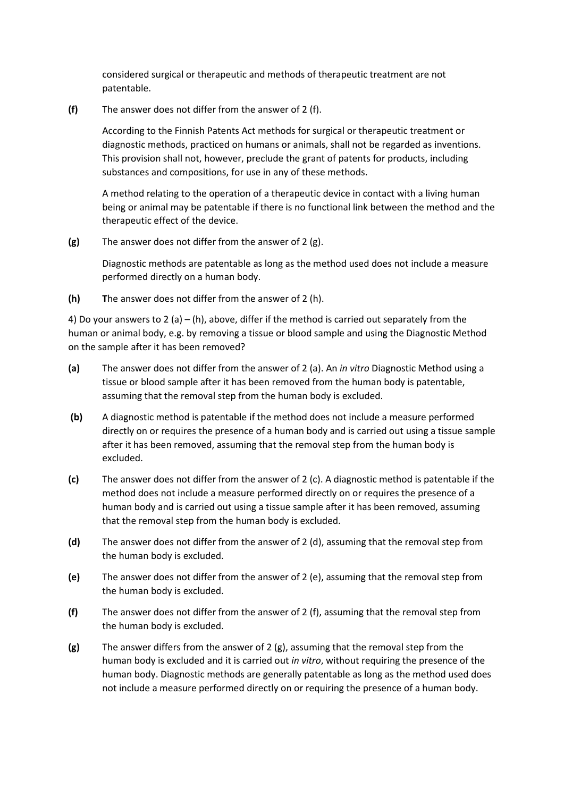considered surgical or therapeutic and methods of therapeutic treatment are not patentable.

**(f)** The answer does not differ from the answer of 2 (f).

According to the Finnish Patents Act methods for surgical or therapeutic treatment or diagnostic methods, practiced on humans or animals, shall not be regarded as inventions. This provision shall not, however, preclude the grant of patents for products, including substances and compositions, for use in any of these methods.

A method relating to the operation of a therapeutic device in contact with a living human being or animal may be patentable if there is no functional link between the method and the therapeutic effect of the device.

**(g)** The answer does not differ from the answer of 2 (g).

Diagnostic methods are patentable as long as the method used does not include a measure performed directly on a human body.

**(h) T**he answer does not differ from the answer of 2 (h).

4) Do your answers to 2 (a) – (h), above, differ if the method is carried out separately from the human or animal body, e.g. by removing a tissue or blood sample and using the Diagnostic Method on the sample after it has been removed?

- **(a)** The answer does not differ from the answer of 2 (a). An *in vitro* Diagnostic Method using a tissue or blood sample after it has been removed from the human body is patentable, assuming that the removal step from the human body is excluded.
- **(b)** A diagnostic method is patentable if the method does not include a measure performed directly on or requires the presence of a human body and is carried out using a tissue sample after it has been removed, assuming that the removal step from the human body is excluded.
- **(c)** The answer does not differ from the answer of 2 (c). A diagnostic method is patentable if the method does not include a measure performed directly on or requires the presence of a human body and is carried out using a tissue sample after it has been removed, assuming that the removal step from the human body is excluded.
- **(d)** The answer does not differ from the answer of 2 (d), assuming that the removal step from the human body is excluded.
- **(e)** The answer does not differ from the answer of 2 (e), assuming that the removal step from the human body is excluded.
- **(f)** The answer does not differ from the answer of 2 (f), assuming that the removal step from the human body is excluded.
- **(g)** The answer differs from the answer of 2 (g), assuming that the removal step from the human body is excluded and it is carried out *in vitro*, without requiring the presence of the human body. Diagnostic methods are generally patentable as long as the method used does not include a measure performed directly on or requiring the presence of a human body.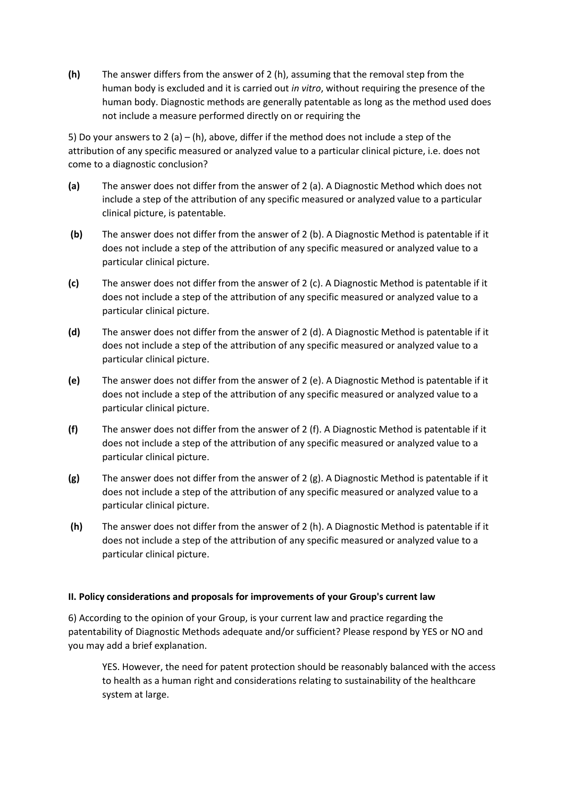**(h)** The answer differs from the answer of 2 (h), assuming that the removal step from the human body is excluded and it is carried out *in vitro*, without requiring the presence of the human body. Diagnostic methods are generally patentable as long as the method used does not include a measure performed directly on or requiring the

5) Do your answers to 2 (a) – (h), above, differ if the method does not include a step of the attribution of any specific measured or analyzed value to a particular clinical picture, i.e. does not come to a diagnostic conclusion?

- **(a)** The answer does not differ from the answer of 2 (a). A Diagnostic Method which does not include a step of the attribution of any specific measured or analyzed value to a particular clinical picture, is patentable.
- **(b)** The answer does not differ from the answer of 2 (b). A Diagnostic Method is patentable if it does not include a step of the attribution of any specific measured or analyzed value to a particular clinical picture.
- **(c)** The answer does not differ from the answer of 2 (c). A Diagnostic Method is patentable if it does not include a step of the attribution of any specific measured or analyzed value to a particular clinical picture.
- **(d)** The answer does not differ from the answer of 2 (d). A Diagnostic Method is patentable if it does not include a step of the attribution of any specific measured or analyzed value to a particular clinical picture.
- **(e)** The answer does not differ from the answer of 2 (e). A Diagnostic Method is patentable if it does not include a step of the attribution of any specific measured or analyzed value to a particular clinical picture.
- **(f)** The answer does not differ from the answer of 2 (f). A Diagnostic Method is patentable if it does not include a step of the attribution of any specific measured or analyzed value to a particular clinical picture.
- **(g)** The answer does not differ from the answer of 2 (g). A Diagnostic Method is patentable if it does not include a step of the attribution of any specific measured or analyzed value to a particular clinical picture.
- **(h)** The answer does not differ from the answer of 2 (h). A Diagnostic Method is patentable if it does not include a step of the attribution of any specific measured or analyzed value to a particular clinical picture.

# **II. Policy considerations and proposals for improvements of your Group's current law**

6) According to the opinion of your Group, is your current law and practice regarding the patentability of Diagnostic Methods adequate and/or sufficient? Please respond by YES or NO and you may add a brief explanation.

YES. However, the need for patent protection should be reasonably balanced with the access to health as a human right and considerations relating to sustainability of the healthcare system at large.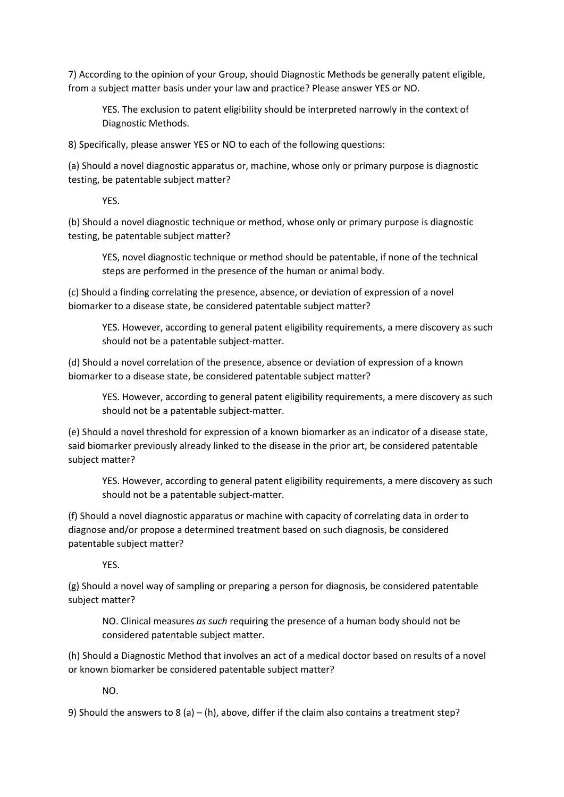7) According to the opinion of your Group, should Diagnostic Methods be generally patent eligible, from a subject matter basis under your law and practice? Please answer YES or NO.

YES. The exclusion to patent eligibility should be interpreted narrowly in the context of Diagnostic Methods.

8) Specifically, please answer YES or NO to each of the following questions:

(a) Should a novel diagnostic apparatus or, machine, whose only or primary purpose is diagnostic testing, be patentable subject matter?

YES.

(b) Should a novel diagnostic technique or method, whose only or primary purpose is diagnostic testing, be patentable subject matter?

YES, novel diagnostic technique or method should be patentable, if none of the technical steps are performed in the presence of the human or animal body.

(c) Should a finding correlating the presence, absence, or deviation of expression of a novel biomarker to a disease state, be considered patentable subject matter?

YES. However, according to general patent eligibility requirements, a mere discovery as such should not be a patentable subject-matter.

(d) Should a novel correlation of the presence, absence or deviation of expression of a known biomarker to a disease state, be considered patentable subject matter?

YES. However, according to general patent eligibility requirements, a mere discovery as such should not be a patentable subject-matter.

(e) Should a novel threshold for expression of a known biomarker as an indicator of a disease state, said biomarker previously already linked to the disease in the prior art, be considered patentable subject matter?

YES. However, according to general patent eligibility requirements, a mere discovery as such should not be a patentable subject-matter.

(f) Should a novel diagnostic apparatus or machine with capacity of correlating data in order to diagnose and/or propose a determined treatment based on such diagnosis, be considered patentable subject matter?

YES.

(g) Should a novel way of sampling or preparing a person for diagnosis, be considered patentable subject matter?

NO. Clinical measures *as such* requiring the presence of a human body should not be considered patentable subject matter.

(h) Should a Diagnostic Method that involves an act of a medical doctor based on results of a novel or known biomarker be considered patentable subject matter?

 $N<sub>O</sub>$ 

9) Should the answers to 8 (a) – (h), above, differ if the claim also contains a treatment step?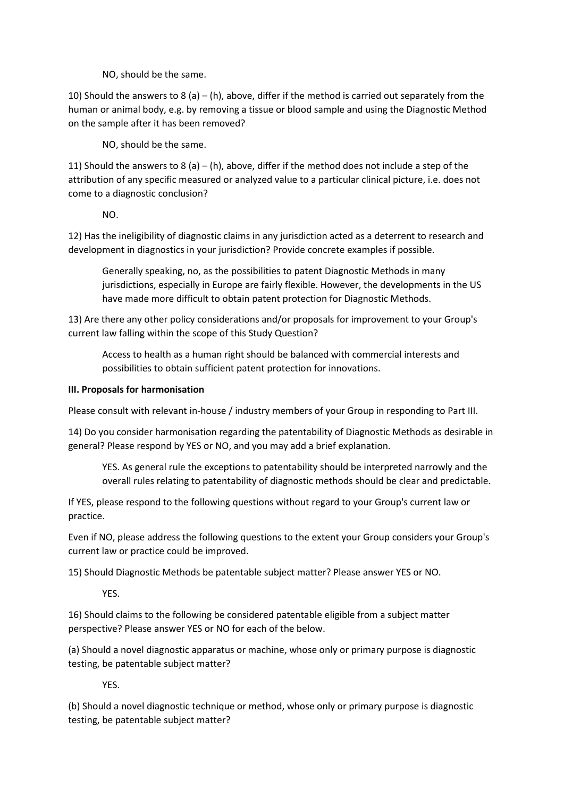NO, should be the same.

10) Should the answers to 8 (a) – (h), above, differ if the method is carried out separately from the human or animal body, e.g. by removing a tissue or blood sample and using the Diagnostic Method on the sample after it has been removed?

NO, should be the same.

11) Should the answers to 8 (a) – (h), above, differ if the method does not include a step of the attribution of any specific measured or analyzed value to a particular clinical picture, i.e. does not come to a diagnostic conclusion?

NO.

12) Has the ineligibility of diagnostic claims in any jurisdiction acted as a deterrent to research and development in diagnostics in your jurisdiction? Provide concrete examples if possible.

Generally speaking, no, as the possibilities to patent Diagnostic Methods in many jurisdictions, especially in Europe are fairly flexible. However, the developments in the US have made more difficult to obtain patent protection for Diagnostic Methods.

13) Are there any other policy considerations and/or proposals for improvement to your Group's current law falling within the scope of this Study Question?

Access to health as a human right should be balanced with commercial interests and possibilities to obtain sufficient patent protection for innovations.

## **III. Proposals for harmonisation**

Please consult with relevant in-house / industry members of your Group in responding to Part III.

14) Do you consider harmonisation regarding the patentability of Diagnostic Methods as desirable in general? Please respond by YES or NO, and you may add a brief explanation.

YES. As general rule the exceptions to patentability should be interpreted narrowly and the overall rules relating to patentability of diagnostic methods should be clear and predictable.

If YES, please respond to the following questions without regard to your Group's current law or practice.

Even if NO, please address the following questions to the extent your Group considers your Group's current law or practice could be improved.

15) Should Diagnostic Methods be patentable subject matter? Please answer YES or NO.

YES.

16) Should claims to the following be considered patentable eligible from a subject matter perspective? Please answer YES or NO for each of the below.

(a) Should a novel diagnostic apparatus or machine, whose only or primary purpose is diagnostic testing, be patentable subject matter?

YES.

(b) Should a novel diagnostic technique or method, whose only or primary purpose is diagnostic testing, be patentable subject matter?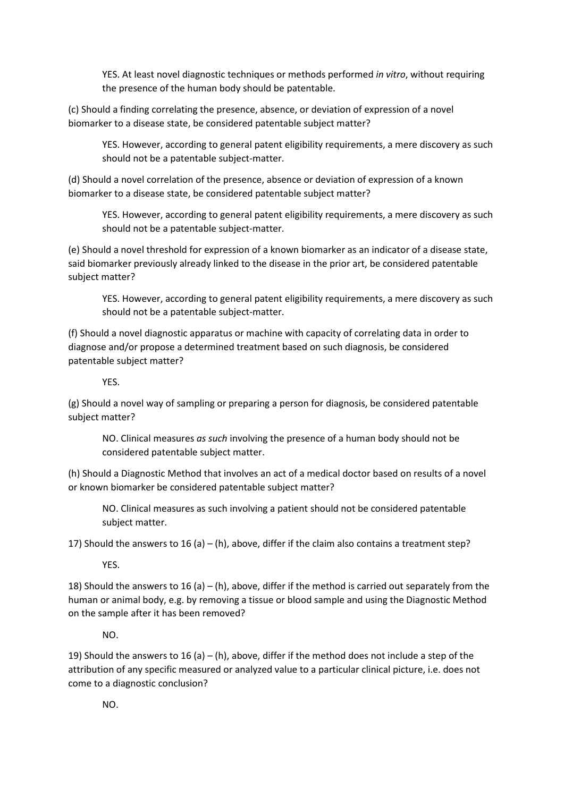YES. At least novel diagnostic techniques or methods performed *in vitro*, without requiring the presence of the human body should be patentable.

(c) Should a finding correlating the presence, absence, or deviation of expression of a novel biomarker to a disease state, be considered patentable subject matter?

YES. However, according to general patent eligibility requirements, a mere discovery as such should not be a patentable subject-matter.

(d) Should a novel correlation of the presence, absence or deviation of expression of a known biomarker to a disease state, be considered patentable subject matter?

YES. However, according to general patent eligibility requirements, a mere discovery as such should not be a patentable subject-matter.

(e) Should a novel threshold for expression of a known biomarker as an indicator of a disease state, said biomarker previously already linked to the disease in the prior art, be considered patentable subject matter?

YES. However, according to general patent eligibility requirements, a mere discovery as such should not be a patentable subject-matter.

(f) Should a novel diagnostic apparatus or machine with capacity of correlating data in order to diagnose and/or propose a determined treatment based on such diagnosis, be considered patentable subject matter?

YES.

(g) Should a novel way of sampling or preparing a person for diagnosis, be considered patentable subject matter?

NO. Clinical measures *as such* involving the presence of a human body should not be considered patentable subject matter.

(h) Should a Diagnostic Method that involves an act of a medical doctor based on results of a novel or known biomarker be considered patentable subject matter?

NO. Clinical measures as such involving a patient should not be considered patentable subject matter.

17) Should the answers to 16 (a) – (h), above, differ if the claim also contains a treatment step?

YES.

18) Should the answers to 16 (a) – (h), above, differ if the method is carried out separately from the human or animal body, e.g. by removing a tissue or blood sample and using the Diagnostic Method on the sample after it has been removed?

NO.

19) Should the answers to 16 (a) – (h), above, differ if the method does not include a step of the attribution of any specific measured or analyzed value to a particular clinical picture, i.e. does not come to a diagnostic conclusion?

NO.